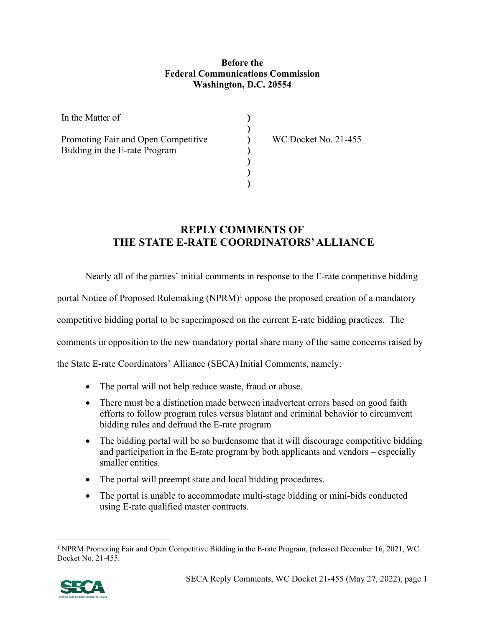## **Before the Federal Communications Commission Washington, D.C. 20554**

**) ) ) ) ) ) )** 

| In the Matter of                                                     |  |
|----------------------------------------------------------------------|--|
| Promoting Fair and Open Competitive<br>Bidding in the E-rate Program |  |
|                                                                      |  |

WC Docket No. 21-455

## **REPLY COMMENTS OF THE STATE E-RATE COORDINATORS' ALLIANCE**

Nearly all of the parties' initial comments in response to the E-rate competitive bidding

portal Notice of Proposed Rulemaking (NPRM)<sup>1</sup> oppose the proposed creation of a mandatory

competitive bidding portal to be superimposed on the current E-rate bidding practices. The

comments in opposition to the new mandatory portal share many of the same concerns raised by

the State E-rate Coordinators' Alliance (SECA) Initial Comments, namely:

- The portal will not help reduce waste, fraud or abuse.
- There must be a distinction made between inadvertent errors based on good faith efforts to follow program rules versus blatant and criminal behavior to circumvent bidding rules and defraud the E-rate program
- The bidding portal will be so burdensome that it will discourage competitive bidding and participation in the E-rate program by both applicants and vendors – especially smaller entities.
- The portal will preempt state and local bidding procedures.
- The portal is unable to accommodate multi-stage bidding or mini-bids conducted using E-rate qualified master contracts.

<sup>&</sup>lt;sup>1</sup> NPRM Promoting Fair and Open Competitive Bidding in the E-rate Program, (released December 16, 2021, WC Docket No. 21-455.

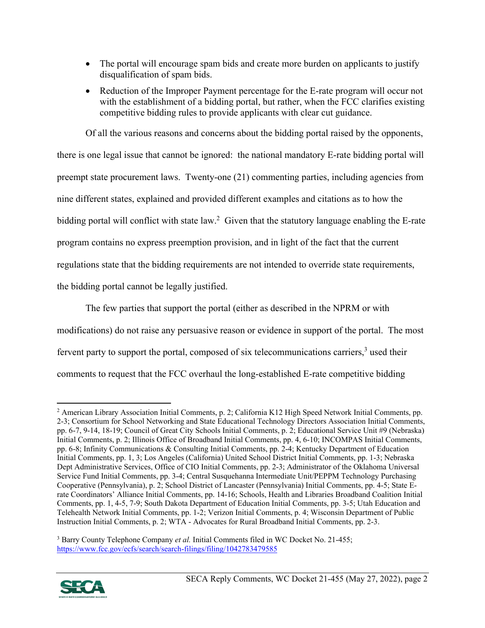- The portal will encourage spam bids and create more burden on applicants to justify disqualification of spam bids.
- Reduction of the Improper Payment percentage for the E-rate program will occur not with the establishment of a bidding portal, but rather, when the FCC clarifies existing competitive bidding rules to provide applicants with clear cut guidance.

Of all the various reasons and concerns about the bidding portal raised by the opponents, there is one legal issue that cannot be ignored: the national mandatory E-rate bidding portal will preempt state procurement laws. Twenty-one (21) commenting parties, including agencies from nine different states, explained and provided different examples and citations as to how the bidding portal will conflict with state law.<sup>2</sup> Given that the statutory language enabling the E-rate program contains no express preemption provision, and in light of the fact that the current regulations state that the bidding requirements are not intended to override state requirements, the bidding portal cannot be legally justified.

The few parties that support the portal (either as described in the NPRM or with modifications) do not raise any persuasive reason or evidence in support of the portal. The most fervent party to support the portal, composed of six telecommunications carriers, $3$  used their comments to request that the FCC overhaul the long-established E-rate competitive bidding

<sup>&</sup>lt;sup>3</sup> Barry County Telephone Company *et al.* Initial Comments filed in WC Docket No. 21-455; https://www.fcc.gov/ecfs/search/search-filings/filing/1042783479585



<sup>2</sup> American Library Association Initial Comments, p. 2; California K12 High Speed Network Initial Comments, pp. 2-3; Consortium for School Networking and State Educational Technology Directors Association Initial Comments, pp. 6-7, 9-14, 18-19; Council of Great City Schools Initial Comments, p. 2; Educational Service Unit #9 (Nebraska) Initial Comments, p. 2; Illinois Office of Broadband Initial Comments, pp. 4, 6-10; INCOMPAS Initial Comments, pp. 6-8; Infinity Communications & Consulting Initial Comments, pp. 2-4; Kentucky Department of Education Initial Comments, pp. 1, 3; Los Angeles (California) United School District Initial Comments, pp. 1-3; Nebraska Dept Administrative Services, Office of CIO Initial Comments, pp. 2-3; Administrator of the Oklahoma Universal Service Fund Initial Comments, pp. 3-4; Central Susquehanna Intermediate Unit/PEPPM Technology Purchasing Cooperative (Pennsylvania), p. 2; School District of Lancaster (Pennsylvania) Initial Comments, pp. 4-5; State Erate Coordinators' Alliance Initial Comments, pp. 14-16; Schools, Health and Libraries Broadband Coalition Initial Comments, pp. 1, 4-5, 7-9; South Dakota Department of Education Initial Comments, pp. 3-5; Utah Education and Telehealth Network Initial Comments, pp. 1-2; Verizon Initial Comments, p. 4; Wisconsin Department of Public Instruction Initial Comments, p. 2; WTA - Advocates for Rural Broadband Initial Comments, pp. 2-3.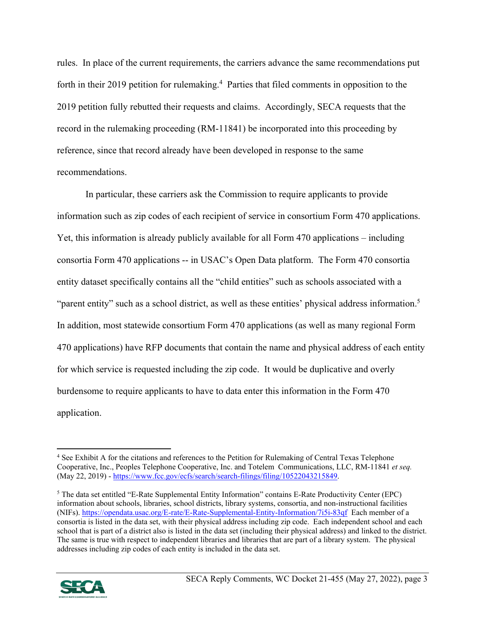rules. In place of the current requirements, the carriers advance the same recommendations put forth in their 2019 petition for rulemaking.<sup>4</sup> Parties that filed comments in opposition to the 2019 petition fully rebutted their requests and claims. Accordingly, SECA requests that the record in the rulemaking proceeding (RM-11841) be incorporated into this proceeding by reference, since that record already have been developed in response to the same recommendations.

In particular, these carriers ask the Commission to require applicants to provide information such as zip codes of each recipient of service in consortium Form 470 applications. Yet, this information is already publicly available for all Form 470 applications – including consortia Form 470 applications -- in USAC's Open Data platform. The Form 470 consortia entity dataset specifically contains all the "child entities" such as schools associated with a "parent entity" such as a school district, as well as these entities' physical address information.<sup>5</sup> In addition, most statewide consortium Form 470 applications (as well as many regional Form 470 applications) have RFP documents that contain the name and physical address of each entity for which service is requested including the zip code. It would be duplicative and overly burdensome to require applicants to have to data enter this information in the Form 470 application.

<sup>&</sup>lt;sup>5</sup> The data set entitled "E-Rate Supplemental Entity Information" contains E-Rate Productivity Center (EPC) information about schools, libraries, school districts, library systems, consortia, and non-instructional facilities (NIFs). https://opendata.usac.org/E-rate/E-Rate-Supplemental-Entity-Information/7i5i-83qf Each member of a consortia is listed in the data set, with their physical address including zip code. Each independent school and each school that is part of a district also is listed in the data set (including their physical address) and linked to the district. The same is true with respect to independent libraries and libraries that are part of a library system. The physical addresses including zip codes of each entity is included in the data set.



<sup>&</sup>lt;sup>4</sup> See Exhibit A for the citations and references to the Petition for Rulemaking of Central Texas Telephone Cooperative, Inc., Peoples Telephone Cooperative, Inc. and Totelem Communications, LLC, RM-11841 *et seq.*  (May 22, 2019) - https://www.fcc.gov/ecfs/search/search-filings/filing/10522043215849.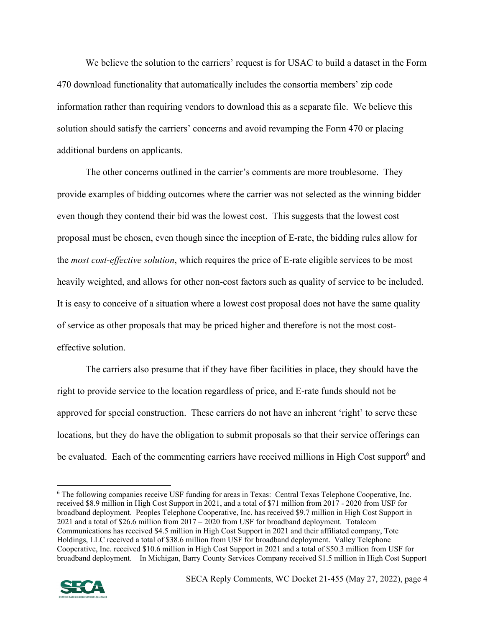We believe the solution to the carriers' request is for USAC to build a dataset in the Form 470 download functionality that automatically includes the consortia members' zip code information rather than requiring vendors to download this as a separate file. We believe this solution should satisfy the carriers' concerns and avoid revamping the Form 470 or placing additional burdens on applicants.

The other concerns outlined in the carrier's comments are more troublesome. They provide examples of bidding outcomes where the carrier was not selected as the winning bidder even though they contend their bid was the lowest cost. This suggests that the lowest cost proposal must be chosen, even though since the inception of E-rate, the bidding rules allow for the *most cost-effective solution*, which requires the price of E-rate eligible services to be most heavily weighted, and allows for other non-cost factors such as quality of service to be included. It is easy to conceive of a situation where a lowest cost proposal does not have the same quality of service as other proposals that may be priced higher and therefore is not the most costeffective solution.

The carriers also presume that if they have fiber facilities in place, they should have the right to provide service to the location regardless of price, and E-rate funds should not be approved for special construction. These carriers do not have an inherent 'right' to serve these locations, but they do have the obligation to submit proposals so that their service offerings can be evaluated. Each of the commenting carriers have received millions in High Cost support<sup>6</sup> and

<sup>6</sup> The following companies receive USF funding for areas in Texas: Central Texas Telephone Cooperative, Inc. received \$8.9 million in High Cost Support in 2021, and a total of \$71 million from 2017 - 2020 from USF for broadband deployment. Peoples Telephone Cooperative, Inc. has received \$9.7 million in High Cost Support in 2021 and a total of \$26.6 million from 2017 – 2020 from USF for broadband deployment. Totalcom Communications has received \$4.5 million in High Cost Support in 2021 and their affiliated company, Tote Holdings, LLC received a total of \$38.6 million from USF for broadband deployment. Valley Telephone Cooperative, Inc. received \$10.6 million in High Cost Support in 2021 and a total of \$50.3 million from USF for broadband deployment. In Michigan, Barry County Services Company received \$1.5 million in High Cost Support

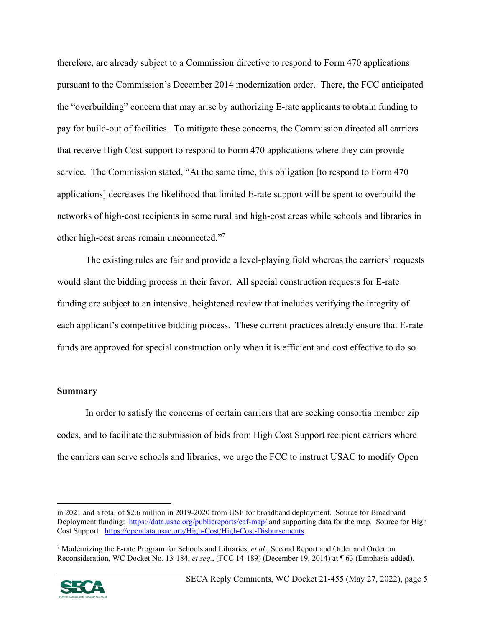therefore, are already subject to a Commission directive to respond to Form 470 applications pursuant to the Commission's December 2014 modernization order. There, the FCC anticipated the "overbuilding" concern that may arise by authorizing E-rate applicants to obtain funding to pay for build-out of facilities. To mitigate these concerns, the Commission directed all carriers that receive High Cost support to respond to Form 470 applications where they can provide service. The Commission stated, "At the same time, this obligation [to respond to Form 470 applications] decreases the likelihood that limited E-rate support will be spent to overbuild the networks of high-cost recipients in some rural and high-cost areas while schools and libraries in other high-cost areas remain unconnected."7

The existing rules are fair and provide a level-playing field whereas the carriers' requests would slant the bidding process in their favor. All special construction requests for E-rate funding are subject to an intensive, heightened review that includes verifying the integrity of each applicant's competitive bidding process. These current practices already ensure that E-rate funds are approved for special construction only when it is efficient and cost effective to do so.

## **Summary**

In order to satisfy the concerns of certain carriers that are seeking consortia member zip codes, and to facilitate the submission of bids from High Cost Support recipient carriers where the carriers can serve schools and libraries, we urge the FCC to instruct USAC to modify Open

<sup>7</sup> Modernizing the E-rate Program for Schools and Libraries, *et al.*, Second Report and Order and Order on Reconsideration, WC Docket No. 13-184, *et seq.*, (FCC 14-189) (December 19, 2014) at ¶ 63 (Emphasis added).



in 2021 and a total of \$2.6 million in 2019-2020 from USF for broadband deployment. Source for Broadband Deployment funding: https://data.usac.org/publicreports/caf-map/ and supporting data for the map. Source for High Cost Support: https://opendata.usac.org/High-Cost/High-Cost-Disbursements.